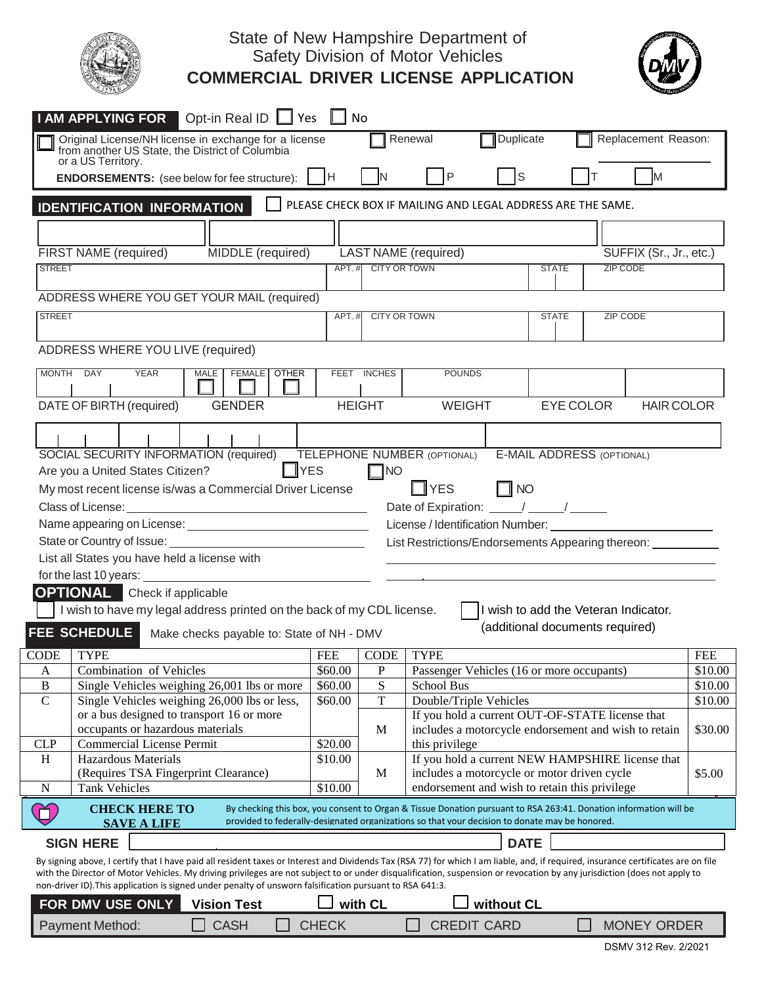

## State of New Hampshire Department of Safety Division of Motor Vehicles **COMMERCIAL DRIVER LICENSE APPLICATION**



| Duplicate<br>Replacement Reason:<br>Renewal<br>Original License/NH license in exchange for a license<br>from another US State, the District of Columbia<br>or a US Territory.<br><b>S</b><br>P<br>M<br>H<br><b>ENDORSEMENTS:</b> (see below for fee structure):<br>PLEASE CHECK BOX IF MAILING AND LEGAL ADDRESS ARE THE SAME.<br><b>IDENTIFICATION INFORMATION</b><br>MIDDLE (required)<br><b>FIRST NAME</b> (required)<br>LAST NAME (required)<br>SUFFIX (Sr., Jr., etc.)<br><b>CITY OR TOWN</b><br><b>ZIP CODE</b><br><b>STREET</b><br>APT.#<br><b>STATE</b> |
|-----------------------------------------------------------------------------------------------------------------------------------------------------------------------------------------------------------------------------------------------------------------------------------------------------------------------------------------------------------------------------------------------------------------------------------------------------------------------------------------------------------------------------------------------------------------|
|                                                                                                                                                                                                                                                                                                                                                                                                                                                                                                                                                                 |
|                                                                                                                                                                                                                                                                                                                                                                                                                                                                                                                                                                 |
|                                                                                                                                                                                                                                                                                                                                                                                                                                                                                                                                                                 |
|                                                                                                                                                                                                                                                                                                                                                                                                                                                                                                                                                                 |
|                                                                                                                                                                                                                                                                                                                                                                                                                                                                                                                                                                 |
|                                                                                                                                                                                                                                                                                                                                                                                                                                                                                                                                                                 |
|                                                                                                                                                                                                                                                                                                                                                                                                                                                                                                                                                                 |
|                                                                                                                                                                                                                                                                                                                                                                                                                                                                                                                                                                 |
| ADDRESS WHERE YOU GET YOUR MAIL (required)                                                                                                                                                                                                                                                                                                                                                                                                                                                                                                                      |
| <b>STREET</b><br>APT.#<br><b>STATE</b><br><b>ZIP CODE</b><br><b>CITY OR TOWN</b>                                                                                                                                                                                                                                                                                                                                                                                                                                                                                |
|                                                                                                                                                                                                                                                                                                                                                                                                                                                                                                                                                                 |
| ADDRESS WHERE YOU LIVE (required)                                                                                                                                                                                                                                                                                                                                                                                                                                                                                                                               |
| MONTH DAY<br><b>YEAR</b><br><b>MALE</b><br><b>FEMALE   OTHER</b><br><b>FEET</b><br><b>INCHES</b><br><b>POUNDS</b>                                                                                                                                                                                                                                                                                                                                                                                                                                               |
|                                                                                                                                                                                                                                                                                                                                                                                                                                                                                                                                                                 |
| DATE OF BIRTH (required)<br><b>EYE COLOR</b><br><b>GENDER</b><br><b>HEIGHT</b><br><b>WEIGHT</b><br><b>HAIR COLOR</b>                                                                                                                                                                                                                                                                                                                                                                                                                                            |
|                                                                                                                                                                                                                                                                                                                                                                                                                                                                                                                                                                 |
| SOCIAL SECURITY INFORMATION (required)<br><b>TELEPHONE NUMBER (OPTIONAL)</b><br><b>E-MAIL ADDRESS (OPTIONAL)</b>                                                                                                                                                                                                                                                                                                                                                                                                                                                |
| $\Box$ YES<br>Are you a United States Citizen?<br>$\Box$ NO                                                                                                                                                                                                                                                                                                                                                                                                                                                                                                     |
| $\Box$ NO<br>$\Box$ YES<br>My most recent license is/was a Commercial Driver License                                                                                                                                                                                                                                                                                                                                                                                                                                                                            |
| Class of License:<br>Date of Expiration: \[\sqrtdgs\]                                                                                                                                                                                                                                                                                                                                                                                                                                                                                                           |
| <u> 1989 - Johann Stoff, Amerikaansk politiker (</u>                                                                                                                                                                                                                                                                                                                                                                                                                                                                                                            |
| License / Identification Number:                                                                                                                                                                                                                                                                                                                                                                                                                                                                                                                                |
| List Restrictions/Endorsements Appearing thereon:                                                                                                                                                                                                                                                                                                                                                                                                                                                                                                               |
| List all States you have held a license with                                                                                                                                                                                                                                                                                                                                                                                                                                                                                                                    |
|                                                                                                                                                                                                                                                                                                                                                                                                                                                                                                                                                                 |
| for the last 10 years:                                                                                                                                                                                                                                                                                                                                                                                                                                                                                                                                          |
| <b>OPTIONAL</b> Check if applicable                                                                                                                                                                                                                                                                                                                                                                                                                                                                                                                             |
| I wish to have my legal address printed on the back of my CDL license.<br>I wish to add the Veteran Indicator.                                                                                                                                                                                                                                                                                                                                                                                                                                                  |
| (additional documents required)<br><b>FEE SCHEDULE</b><br>Make checks payable to: State of NH - DMV                                                                                                                                                                                                                                                                                                                                                                                                                                                             |
| <b>TYPE</b><br><b>TYPE</b><br>CODE<br><b>FEE</b><br><b>CODE</b><br><b>FEE</b>                                                                                                                                                                                                                                                                                                                                                                                                                                                                                   |
| Combination of Vehicles<br>\$60.00<br>$\mathbf P$<br>Passenger Vehicles (16 or more occupants)<br>\$10.00<br>A                                                                                                                                                                                                                                                                                                                                                                                                                                                  |
| S<br>$\, {\bf B}$<br>\$60.00<br>School Bus<br>Single Vehicles weighing 26,001 lbs or more<br>\$10.00                                                                                                                                                                                                                                                                                                                                                                                                                                                            |
| $\mathcal{C}$<br>T<br>Single Vehicles weighing 26,000 lbs or less,<br>Double/Triple Vehicles<br>\$60.00<br>\$10.00                                                                                                                                                                                                                                                                                                                                                                                                                                              |
| or a bus designed to transport 16 or more<br>If you hold a current OUT-OF-STATE license that                                                                                                                                                                                                                                                                                                                                                                                                                                                                    |
| occupants or hazardous materials<br>\$30.00<br>M<br>includes a motorcycle endorsement and wish to retain                                                                                                                                                                                                                                                                                                                                                                                                                                                        |
| <b>CLP</b><br><b>Commercial License Permit</b><br>\$20.00<br>this privilege                                                                                                                                                                                                                                                                                                                                                                                                                                                                                     |
| If you hold a current NEW HAMPSHIRE license that<br>H<br>Hazardous Materials<br>\$10.00                                                                                                                                                                                                                                                                                                                                                                                                                                                                         |
| \$5.00<br>includes a motorcycle or motor driven cycle<br>(Requires TSA Fingerprint Clearance)<br>M                                                                                                                                                                                                                                                                                                                                                                                                                                                              |
| endorsement and wish to retain this privilege<br><b>Tank Vehicles</b><br>\$10.00<br>N<br><b>CHECK HERE TO</b><br>By checking this box, you consent to Organ & Tissue Donation pursuant to RSA 263:41. Donation information will be<br>О.                                                                                                                                                                                                                                                                                                                        |
| provided to federally-designated organizations so that your decision to donate may be honored.<br><b>SAVE A LIFE</b>                                                                                                                                                                                                                                                                                                                                                                                                                                            |
| <b>SIGN HERE</b><br><b>DATE</b>                                                                                                                                                                                                                                                                                                                                                                                                                                                                                                                                 |
| By signing above, I certify that I have paid all resident taxes or Interest and Dividends Tax (RSA 77) for which I am liable, and, if required, insurance certificates are on file                                                                                                                                                                                                                                                                                                                                                                              |
| with the Director of Motor Vehicles. My driving privileges are not subject to or under disqualification, suspension or revocation by any jurisdiction (does not apply to                                                                                                                                                                                                                                                                                                                                                                                        |
| non-driver ID). This application is signed under penalty of unsworn falsification pursuant to RSA 641:3.<br>FOR DMV USE ONLY<br>with CL<br>without CL<br><b>Vision Test</b>                                                                                                                                                                                                                                                                                                                                                                                     |

DSMV 312 Rev. 2/2021